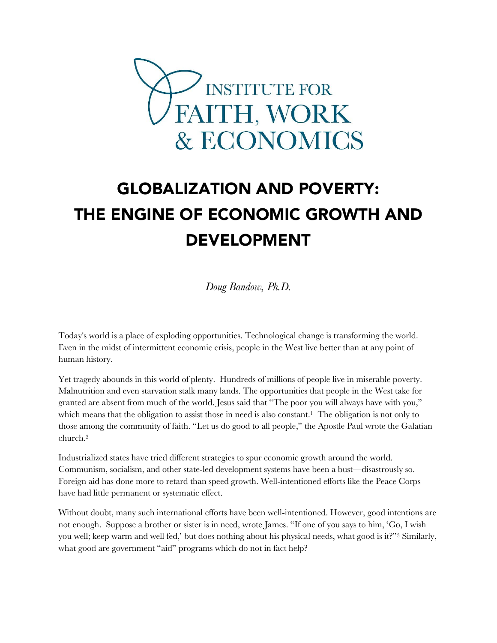

# GLOBALIZATION AND POVERTY: THE ENGINE OF ECONOMIC GROWTH AND DEVELOPMENT

*Doug Bandow, Ph.D.*

Today's world is a place of exploding opportunities. Technological change is transforming the world. Even in the midst of intermittent economic crisis, people in the West live better than at any point of human history.

Yet tragedy abounds in this world of plenty. Hundreds of millions of people live in miserable poverty. Malnutrition and even starvation stalk many lands. The opportunities that people in the West take for granted are absent from much of the world. Jesus said that "The poor you will always have with you," which means that the obligation to assist those in need is also constant.<sup>1</sup> The obligation is not only to those among the community of faith. "Let us do good to all people," the Apostle Paul wrote the Galatian church.<sup>2</sup>

Industrialized states have tried different strategies to spur economic growth around the world. Communism, socialism, and other state-led development systems have been a bust—disastrously so. Foreign aid has done more to retard than speed growth. Well-intentioned efforts like the Peace Corps have had little permanent or systematic effect.

Without doubt, many such international efforts have been well-intentioned. However, good intentions are not enough. Suppose a brother or sister is in need, wrote James. "If one of you says to him, 'Go, I wish you well; keep warm and well fed,' but does nothing about his physical needs, what good is it?"<sup>3</sup> Similarly, what good are government "aid" programs which do not in fact help?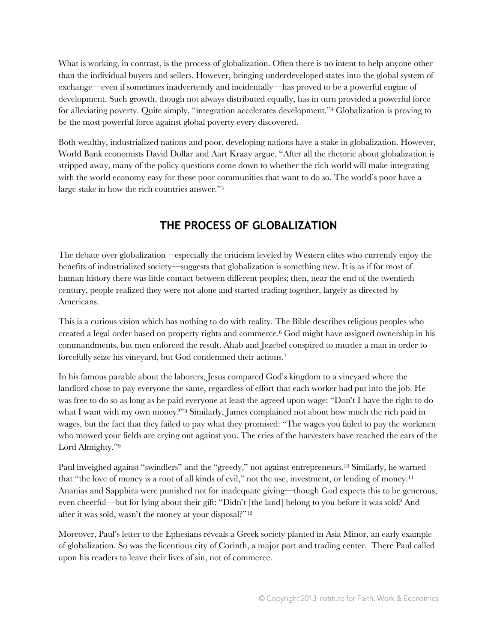What is working, in contrast, is the process of globalization. Often there is no intent to help anyone other than the individual buyers and sellers. However, bringing underdeveloped states into the global system of exchange—even if sometimes inadvertently and incidentally—has proved to be a powerful engine of development. Such growth, though not always distributed equally, has in turn provided a powerful force for alleviating poverty. Quite simply, "integration accelerates development."<sup>4</sup> Globalization is proving to be the most powerful force against global poverty every discovered.

Both wealthy, industrialized nations and poor, developing nations have a stake in globalization. However, World Bank economists David Dollar and Aart Kraay argue, "After all the rhetoric about globalization is stripped away, many of the policy questions come down to whether the rich world will make integrating with the world economy easy for those poor communities that want to do so. The world's poor have a large stake in how the rich countries answer."<sup>5</sup>

## **THE PROCESS OF GLOBALIZATION**

The debate over globalization—especially the criticism leveled by Western elites who currently enjoy the benefits of industrialized society—suggests that globalization is something new. It is as if for most of human history there was little contact between different peoples; then, near the end of the twentieth century, people realized they were not alone and started trading together, largely as directed by Americans.

This is a curious vision which has nothing to do with reality. The Bible describes religious peoples who created a legal order based on property rights and commerce.<sup>6</sup> God might have assigned ownership in his commandments, but men enforced the result. Ahab and Jezebel conspired to murder a man in order to forcefully seize his vineyard, but God condemned their actions.<sup>7</sup>

In his famous parable about the laborers, Jesus compared God's kingdom to a vineyard where the landlord chose to pay everyone the same, regardless of effort that each worker had put into the job. He was free to do so as long as he paid everyone at least the agreed upon wage: "Don't I have the right to do what I want with my own money?"<sup>8</sup> Similarly, James complained not about how much the rich paid in wages, but the fact that they failed to pay what they promised: "The wages you failed to pay the workmen who mowed your fields are crying out against you. The cries of the harvesters have reached the ears of the Lord Almighty."<sup>9</sup>

Paul inveighed against "swindlers" and the "greedy," not against entrepreneurs.<sup>10</sup> Similarly, he warned that "the love of money is a root of all kinds of evil," not the use, investment, or lending of money.<sup>11</sup> Ananias and Sapphira were punished not for inadequate giving—though God expects this to be generous, even cheerful—but for lying about their gift: "Didn't [the land] belong to you before it was sold? And after it was sold, wasn't the money at your disposal?"<sup>12</sup>

Moreover, Paul's letter to the Ephesians reveals a Greek society planted in Asia Minor, an early example of globalization. So was the licentious city of Corinth, a major port and trading center. There Paul called upon his readers to leave their lives of sin, not of commerce.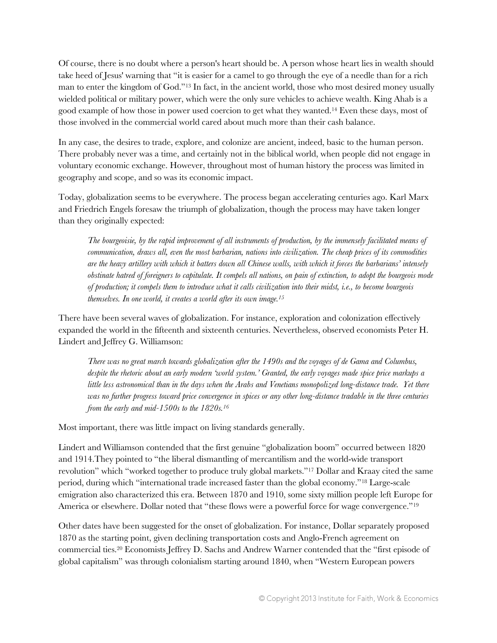Of course, there is no doubt where a person's heart should be. A person whose heart lies in wealth should take heed of Jesus' warning that "it is easier for a camel to go through the eye of a needle than for a rich man to enter the kingdom of God."<sup>13</sup> In fact, in the ancient world, those who most desired money usually wielded political or military power, which were the only sure vehicles to achieve wealth. King Ahab is a good example of how those in power used coercion to get what they wanted.<sup>14</sup> Even these days, most of those involved in the commercial world cared about much more than their cash balance.

In any case, the desires to trade, explore, and colonize are ancient, indeed, basic to the human person. There probably never was a time, and certainly not in the biblical world, when people did not engage in voluntary economic exchange. However, throughout most of human history the process was limited in geography and scope, and so was its economic impact.

Today, globalization seems to be everywhere. The process began accelerating centuries ago. Karl Marx and Friedrich Engels foresaw the triumph of globalization, though the process may have taken longer than they originally expected:

*The bourgeoisie, by the rapid improvement of all instruments of production, by the immensely facilitated means of communication, draws all, even the most barbarian, nations into civilization. The cheap prices of its commodities are the heavy artillery with which it batters down all Chinese walls, with which it forces the barbarians' intensely obstinate hatred of foreigners to capitulate. It compels all nations, on pain of extinction, to adopt the bourgeois mode of production; it compels them to introduce what it calls civilization into their midst, i.e., to become bourgeois themselves. In one world, it creates a world after its own image.<sup>15</sup>*

There have been several waves of globalization. For instance, exploration and colonization effectively expanded the world in the fifteenth and sixteenth centuries. Nevertheless, observed economists Peter H. Lindert and Jeffrey G. Williamson:

*There was no great march towards globalization after the 1490s and the voyages of de Gama and Columbus, despite the rhetoric about an early modern 'world system.' Granted, the early voyages made spice price markups a little less astronomical than in the days when the Arabs and Venetians monopolized long-distance trade. Yet there was no further progress toward price convergence in spices or any other long-distance tradable in the three centuries from the early and mid-1500s to the 1820s.<sup>16</sup>* 

Most important, there was little impact on living standards generally.

Lindert and Williamson contended that the first genuine "globalization boom" occurred between 1820 and 1914.They pointed to "the liberal dismantling of mercantilism and the world-wide transport revolution" which "worked together to produce truly global markets."<sup>17</sup> Dollar and Kraay cited the same period, during which "international trade increased faster than the global economy."<sup>18</sup> Large-scale emigration also characterized this era. Between 1870 and 1910, some sixty million people left Europe for America or elsewhere. Dollar noted that "these flows were a powerful force for wage convergence."<sup>19</sup>

Other dates have been suggested for the onset of globalization. For instance, Dollar separately proposed 1870 as the starting point, given declining transportation costs and Anglo-French agreement on commercial ties.<sup>20</sup> Economists Jeffrey D. Sachs and Andrew Warner contended that the "first episode of global capitalism" was through colonialism starting around 1840, when "Western European powers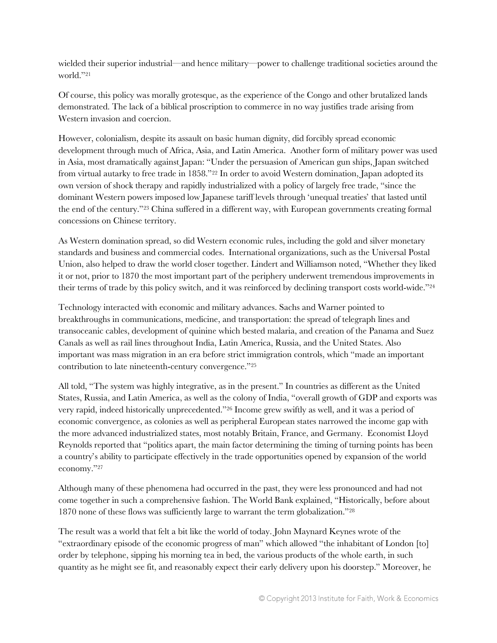wielded their superior industrial—and hence military—power to challenge traditional societies around the world."<sup>21</sup>

Of course, this policy was morally grotesque, as the experience of the Congo and other brutalized lands demonstrated. The lack of a biblical proscription to commerce in no way justifies trade arising from Western invasion and coercion.

However, colonialism, despite its assault on basic human dignity, did forcibly spread economic development through much of Africa, Asia, and Latin America. Another form of military power was used in Asia, most dramatically against Japan: "Under the persuasion of American gun ships, Japan switched from virtual autarky to free trade in 1858."<sup>22</sup> In order to avoid Western domination, Japan adopted its own version of shock therapy and rapidly industrialized with a policy of largely free trade, "since the dominant Western powers imposed low Japanese tariff levels through 'unequal treaties' that lasted until the end of the century."<sup>23</sup> China suffered in a different way, with European governments creating formal concessions on Chinese territory.

As Western domination spread, so did Western economic rules, including the gold and silver monetary standards and business and commercial codes. International organizations, such as the Universal Postal Union, also helped to draw the world closer together. Lindert and Williamson noted, "Whether they liked it or not, prior to 1870 the most important part of the periphery underwent tremendous improvements in their terms of trade by this policy switch, and it was reinforced by declining transport costs world-wide."<sup>24</sup>

Technology interacted with economic and military advances. Sachs and Warner pointed to breakthroughs in communications, medicine, and transportation: the spread of telegraph lines and transoceanic cables, development of quinine which bested malaria, and creation of the Panama and Suez Canals as well as rail lines throughout India, Latin America, Russia, and the United States. Also important was mass migration in an era before strict immigration controls, which "made an important contribution to late nineteenth-century convergence."<sup>25</sup>

All told, "The system was highly integrative, as in the present." In countries as different as the United States, Russia, and Latin America, as well as the colony of India, "overall growth of GDP and exports was very rapid, indeed historically unprecedented."<sup>26</sup> Income grew swiftly as well, and it was a period of economic convergence, as colonies as well as peripheral European states narrowed the income gap with the more advanced industrialized states, most notably Britain, France, and Germany. Economist Lloyd Reynolds reported that "politics apart, the main factor determining the timing of turning points has been a country's ability to participate effectively in the trade opportunities opened by expansion of the world economy."<sup>27</sup>

Although many of these phenomena had occurred in the past, they were less pronounced and had not come together in such a comprehensive fashion. The World Bank explained, "Historically, before about 1870 none of these flows was sufficiently large to warrant the term globalization."<sup>28</sup>

The result was a world that felt a bit like the world of today. John Maynard Keynes wrote of the "extraordinary episode of the economic progress of man" which allowed "the inhabitant of London [to] order by telephone, sipping his morning tea in bed, the various products of the whole earth, in such quantity as he might see fit, and reasonably expect their early delivery upon his doorstep." Moreover, he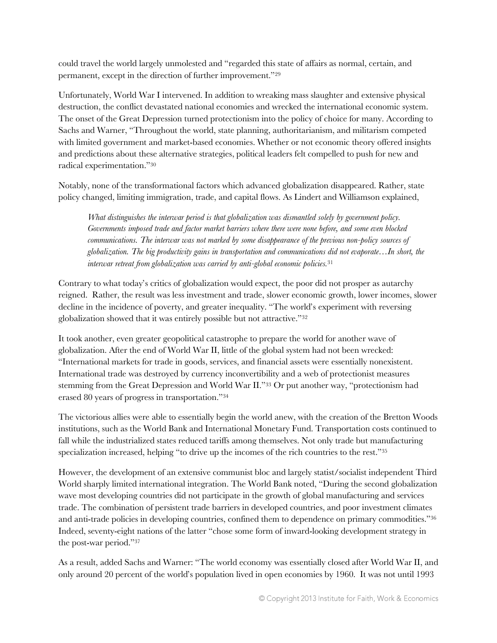could travel the world largely unmolested and "regarded this state of affairs as normal, certain, and permanent, except in the direction of further improvement."<sup>29</sup>

Unfortunately, World War I intervened. In addition to wreaking mass slaughter and extensive physical destruction, the conflict devastated national economies and wrecked the international economic system. The onset of the Great Depression turned protectionism into the policy of choice for many. According to Sachs and Warner, "Throughout the world, state planning, authoritarianism, and militarism competed with limited government and market-based economies. Whether or not economic theory offered insights and predictions about these alternative strategies, political leaders felt compelled to push for new and radical experimentation."<sup>30</sup>

Notably, none of the transformational factors which advanced globalization disappeared. Rather, state policy changed, limiting immigration, trade, and capital flows. As Lindert and Williamson explained,

*What distinguishes the interwar period is that globalization was dismantled solely by government policy. Governments imposed trade and factor market barriers where there were none before, and some even blocked communications. The interwar was not marked by some disappearance of the previous non-policy sources of globalization. The big productivity gains in transportation and communications did not evaporate…In short, the interwar retreat from globalization was carried by anti-global economic policies.*<sup>31</sup>

Contrary to what today's critics of globalization would expect, the poor did not prosper as autarchy reigned. Rather, the result was less investment and trade, slower economic growth, lower incomes, slower decline in the incidence of poverty, and greater inequality. "The world's experiment with reversing globalization showed that it was entirely possible but not attractive."<sup>32</sup>

It took another, even greater geopolitical catastrophe to prepare the world for another wave of globalization. After the end of World War II, little of the global system had not been wrecked: "International markets for trade in goods, services, and financial assets were essentially nonexistent. International trade was destroyed by currency inconvertibility and a web of protectionist measures stemming from the Great Depression and World War II."<sup>33</sup> Or put another way, "protectionism had erased 80 years of progress in transportation."<sup>34</sup>

The victorious allies were able to essentially begin the world anew, with the creation of the Bretton Woods institutions, such as the World Bank and International Monetary Fund. Transportation costs continued to fall while the industrialized states reduced tariffs among themselves. Not only trade but manufacturing specialization increased, helping "to drive up the incomes of the rich countries to the rest."<sup>35</sup>

However, the development of an extensive communist bloc and largely statist/socialist independent Third World sharply limited international integration. The World Bank noted, "During the second globalization wave most developing countries did not participate in the growth of global manufacturing and services trade. The combination of persistent trade barriers in developed countries, and poor investment climates and anti-trade policies in developing countries, confined them to dependence on primary commodities."<sup>36</sup> Indeed, seventy-eight nations of the latter "chose some form of inward-looking development strategy in the post-war period."<sup>37</sup>

As a result, added Sachs and Warner: "The world economy was essentially closed after World War II, and only around 20 percent of the world's population lived in open economies by 1960. It was not until 1993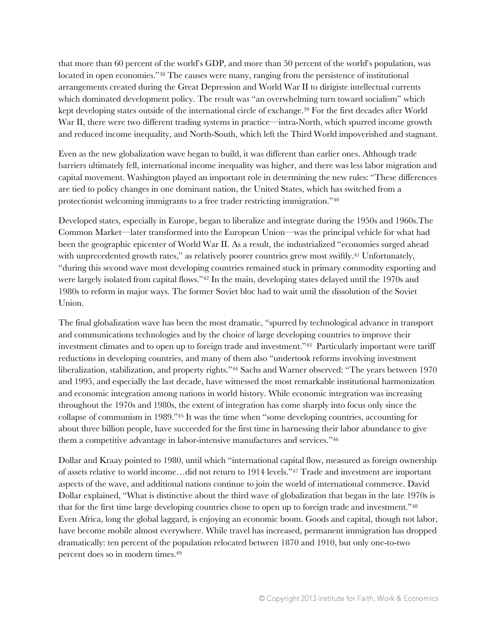that more than 60 percent of the world's GDP, and more than 50 percent of the world's population, was located in open economies."<sup>38</sup> The causes were many, ranging from the persistence of institutional arrangements created during the Great Depression and World War II to dirigiste intellectual currents which dominated development policy. The result was "an overwhelming turn toward socialism" which kept developing states outside of the international circle of exchange.<sup>39</sup> For the first decades after World War II, there were two different trading systems in practice—intra-North, which spurred income growth and reduced income inequality, and North-South, which left the Third World impoverished and stagnant.

Even as the new globalization wave began to build, it was different than earlier ones. Although trade barriers ultimately fell, international income inequality was higher, and there was less labor migration and capital movement. Washington played an important role in determining the new rules: "These differences are tied to policy changes in one dominant nation, the United States, which has switched from a protectionist welcoming immigrants to a free trader restricting immigration."<sup>40</sup>

Developed states, especially in Europe, began to liberalize and integrate during the 1950s and 1960s.The Common Market—later transformed into the European Union—was the principal vehicle for what had been the geographic epicenter of World War II. As a result, the industrialized "economies surged ahead with unprecedented growth rates," as relatively poorer countries grew most swiftly.<sup>41</sup> Unfortunately, "during this second wave most developing countries remained stuck in primary commodity exporting and were largely isolated from capital flows."<sup>42</sup> In the main, developing states delayed until the 1970s and 1980s to reform in major ways. The former Soviet bloc had to wait until the dissolution of the Soviet Union.

The final globalization wave has been the most dramatic, "spurred by technological advance in transport and communications technologies and by the choice of large developing countries to improve their investment climates and to open up to foreign trade and investment."43 Particularly important were tariff reductions in developing countries, and many of them also "undertook reforms involving investment liberalization, stabilization, and property rights."<sup>44</sup> Sachs and Warner observed: "The years between 1970 and 1995, and especially the last decade, have witnessed the most remarkable institutional harmonization and economic integration among nations in world history. While economic integration was increasing throughout the 1970s and 1980s, the extent of integration has come sharply into focus only since the collapse of communism in 1989."<sup>45</sup> It was the time when "some developing countries, accounting for about three billion people, have succeeded for the first time in harnessing their labor abundance to give them a competitive advantage in labor-intensive manufactures and services."<sup>46</sup>

Dollar and Kraay pointed to 1980, until which "international capital flow, measured as foreign ownership of assets relative to world income…did not return to 1914 levels."<sup>47</sup> Trade and investment are important aspects of the wave, and additional nations continue to join the world of international commerce. David Dollar explained, "What is distinctive about the third wave of globalization that began in the late 1970s is that for the first time large developing countries chose to open up to foreign trade and investment."<sup>48</sup> Even Africa, long the global laggard, is enjoying an economic boom. Goods and capital, though not labor, have become mobile almost everywhere. While travel has increased, permanent immigration has dropped dramatically: ten percent of the population relocated between 1870 and 1910, but only one-to-two percent does so in modern times.49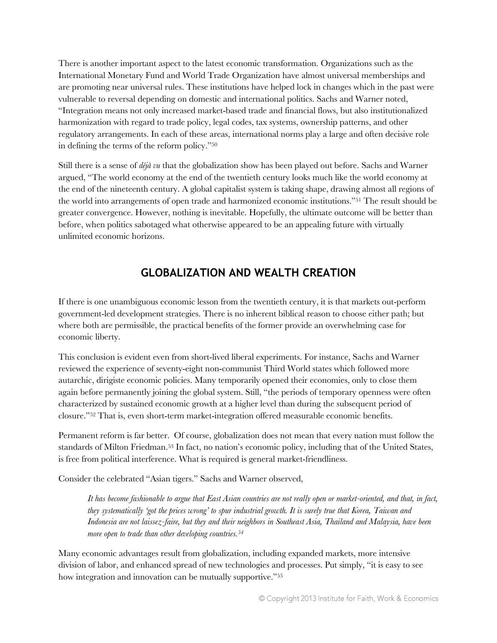There is another important aspect to the latest economic transformation. Organizations such as the International Monetary Fund and World Trade Organization have almost universal memberships and are promoting near universal rules. These institutions have helped lock in changes which in the past were vulnerable to reversal depending on domestic and international politics. Sachs and Warner noted, "Integration means not only increased market-based trade and financial flows, but also institutionalized harmonization with regard to trade policy, legal codes, tax systems, ownership patterns, and other regulatory arrangements. In each of these areas, international norms play a large and often decisive role in defining the terms of the reform policy."<sup>50</sup>

Still there is a sense of *déjà vu* that the globalization show has been played out before. Sachs and Warner argued, "The world economy at the end of the twentieth century looks much like the world economy at the end of the nineteenth century. A global capitalist system is taking shape, drawing almost all regions of the world into arrangements of open trade and harmonized economic institutions."<sup>51</sup> The result should be greater convergence. However, nothing is inevitable. Hopefully, the ultimate outcome will be better than before, when politics sabotaged what otherwise appeared to be an appealing future with virtually unlimited economic horizons.

### **GLOBALIZATION AND WEALTH CREATION**

If there is one unambiguous economic lesson from the twentieth century, it is that markets out-perform government-led development strategies. There is no inherent biblical reason to choose either path; but where both are permissible, the practical benefits of the former provide an overwhelming case for economic liberty.

This conclusion is evident even from short-lived liberal experiments. For instance, Sachs and Warner reviewed the experience of seventy-eight non-communist Third World states which followed more autarchic, dirigiste economic policies. Many temporarily opened their economies, only to close them again before permanently joining the global system. Still, "the periods of temporary openness were often characterized by sustained economic growth at a higher level than during the subsequent period of closure."<sup>52</sup> That is, even short-term market-integration offered measurable economic benefits.

Permanent reform is far better. Of course, globalization does not mean that every nation must follow the standards of Milton Friedman.<sup>53</sup> In fact, no nation's economic policy, including that of the United States, is free from political interference. What is required is general market-friendliness.

Consider the celebrated "Asian tigers." Sachs and Warner observed,

It has become fashionable to argue that East Asian countries are not really open or market-oriented, and that, in fact, *they systematically 'got the prices wrong' to spur industrial growth. It is surely true that Korea, Taiwan and Indonesia are not laissez-faire, but they and their neighbors in Southeast Asia, Thailand and Malaysia, have been more open to trade than other developing countries.<sup>54</sup>*

Many economic advantages result from globalization, including expanded markets, more intensive division of labor, and enhanced spread of new technologies and processes. Put simply, "it is easy to see how integration and innovation can be mutually supportive."55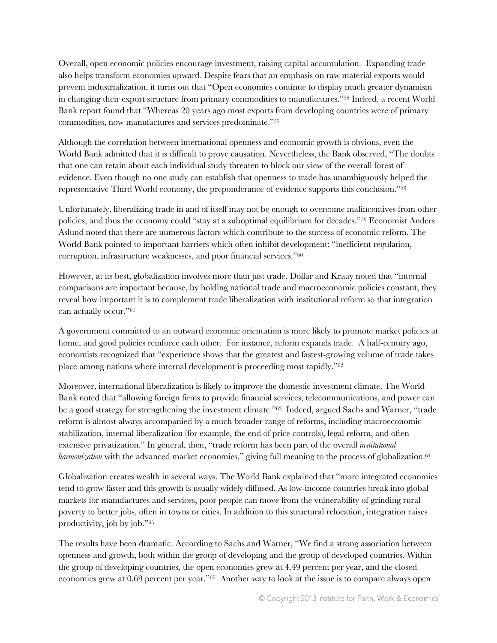Overall, open economic policies encourage investment, raising capital accumulation. Expanding trade also helps transform economies upward. Despite fears that an emphasis on raw material exports would prevent industrialization, it turns out that "Open economies continue to display much greater dynamism in changing their export structure from primary commodities to manufactures."<sup>56</sup> Indeed, a recent World Bank report found that "Whereas 20 years ago most exports from developing countries were of primary commodities, now manufactures and services predominate."<sup>57</sup>

Although the correlation between international openness and economic growth is obvious, even the World Bank admitted that it is difficult to prove causation. Nevertheless, the Bank observed, "The doubts that one can retain about each individual study threaten to block our view of the overall forest of evidence. Even though no one study can establish that openness to trade has unambiguously helped the representative Third World economy, the preponderance of evidence supports this conclusion."<sup>58</sup>

Unfortunately, liberalizing trade in and of itself may not be enough to overcome malincentives from other policies, and thus the economy could "stay at a suboptimal equilibrium for decades."<sup>59</sup> Economist Anders Aslund noted that there are numerous factors which contribute to the success of economic reform. The World Bank pointed to important barriers which often inhibit development: "inefficient regulation, corruption, infrastructure weaknesses, and poor financial services."<sup>60</sup>

However, at its best, globalization involves more than just trade. Dollar and Kraay noted that "internal comparisons are important because, by holding national trade and macroeconomic policies constant, they reveal how important it is to complement trade liberalization with institutional reform so that integration can actually occur."<sup>61</sup>

A government committed to an outward economic orientation is more likely to promote market policies at home, and good policies reinforce each other. For instance, reform expands trade. A half-century ago, economists recognized that "experience shows that the greatest and fastest-growing volume of trade takes place among nations where internal development is proceeding most rapidly."<sup>62</sup>

Moreover, international liberalization is likely to improve the domestic investment climate. The World Bank noted that "allowing foreign firms to provide financial services, telecommunications, and power can be a good strategy for strengthening the investment climate."<sup>63</sup> Indeed, argued Sachs and Warner, "trade reform is almost always accompanied by a much broader range of reforms, including macroeconomic stabilization, internal liberalization (for example, the end of price controls), legal reform, and often extensive privatization." In general, then, "trade reform has been part of the overall *institutional harmonization* with the advanced market economies," giving full meaning to the process of globalization.<sup>64</sup>

Globalization creates wealth in several ways. The World Bank explained that "more integrated economies tend to grow faster and this growth is usually widely diffused. As low-income countries break into global markets for manufactures and services, poor people can move from the vulnerability of grinding rural poverty to better jobs, often in towns or cities. In addition to this structural relocation, integration raises productivity, job by job."<sup>65</sup>

The results have been dramatic. According to Sachs and Warner, "We find a strong association between openness and growth, both within the group of developing and the group of developed countries. Within the group of developing countries, the open economies grew at 4.49 percent per year, and the closed economies grew at 0.69 percent per year."66 Another way to look at the issue is to compare always open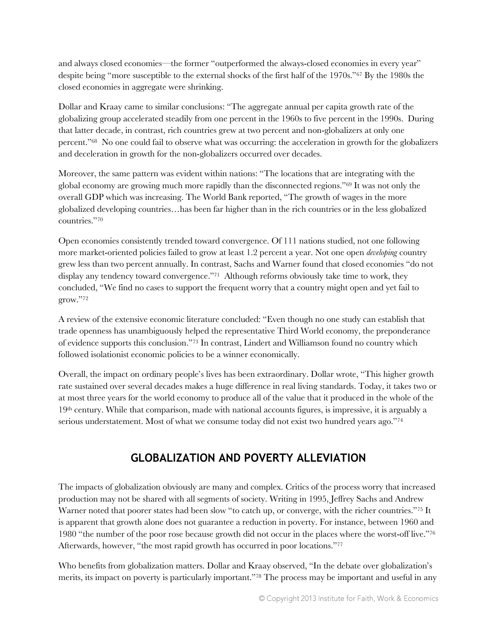and always closed economies—the former "outperformed the always-closed economies in every year" despite being "more susceptible to the external shocks of the first half of the 1970s."<sup>67</sup> By the 1980s the closed economies in aggregate were shrinking.

Dollar and Kraay came to similar conclusions: "The aggregate annual per capita growth rate of the globalizing group accelerated steadily from one percent in the 1960s to five percent in the 1990s. During that latter decade, in contrast, rich countries grew at two percent and non-globalizers at only one percent."68 No one could fail to observe what was occurring: the acceleration in growth for the globalizers and deceleration in growth for the non-globalizers occurred over decades.

Moreover, the same pattern was evident within nations: "The locations that are integrating with the global economy are growing much more rapidly than the disconnected regions."<sup>69</sup> It was not only the overall GDP which was increasing. The World Bank reported, "The growth of wages in the more globalized developing countries…has been far higher than in the rich countries or in the less globalized countries."<sup>70</sup>

Open economies consistently trended toward convergence. Of 111 nations studied, not one following more market-oriented policies failed to grow at least 1.2 percent a year. Not one open *developing* country grew less than two percent annually. In contrast, Sachs and Warner found that closed economies "do not display any tendency toward convergence."<sup>71</sup> Although reforms obviously take time to work, they concluded, "We find no cases to support the frequent worry that a country might open and yet fail to grow."<sup>72</sup>

A review of the extensive economic literature concluded: "Even though no one study can establish that trade openness has unambiguously helped the representative Third World economy, the preponderance of evidence supports this conclusion."<sup>73</sup> In contrast, Lindert and Williamson found no country which followed isolationist economic policies to be a winner economically.

Overall, the impact on ordinary people's lives has been extraordinary. Dollar wrote, "This higher growth rate sustained over several decades makes a huge difference in real living standards. Today, it takes two or at most three years for the world economy to produce all of the value that it produced in the whole of the 19th century. While that comparison, made with national accounts figures, is impressive, it is arguably a serious understatement. Most of what we consume today did not exist two hundred years ago."<sup>74</sup>

### **GLOBALIZATION AND POVERTY ALLEVIATION**

The impacts of globalization obviously are many and complex. Critics of the process worry that increased production may not be shared with all segments of society. Writing in 1995, Jeffrey Sachs and Andrew Warner noted that poorer states had been slow "to catch up, or converge, with the richer countries."<sup>75</sup> It is apparent that growth alone does not guarantee a reduction in poverty. For instance, between 1960 and 1980 "the number of the poor rose because growth did not occur in the places where the worst-off live."<sup>76</sup> Afterwards, however, "the most rapid growth has occurred in poor locations."<sup>77</sup>

Who benefits from globalization matters. Dollar and Kraay observed, "In the debate over globalization's merits, its impact on poverty is particularly important."<sup>78</sup> The process may be important and useful in any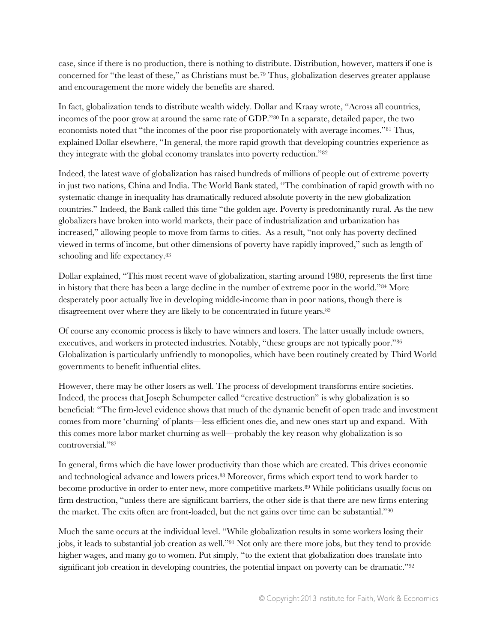case, since if there is no production, there is nothing to distribute. Distribution, however, matters if one is concerned for "the least of these," as Christians must be.<sup>79</sup> Thus, globalization deserves greater applause and encouragement the more widely the benefits are shared.

In fact, globalization tends to distribute wealth widely. Dollar and Kraay wrote, "Across all countries, incomes of the poor grow at around the same rate of GDP."<sup>80</sup> In a separate, detailed paper, the two economists noted that "the incomes of the poor rise proportionately with average incomes."<sup>81</sup> Thus, explained Dollar elsewhere, "In general, the more rapid growth that developing countries experience as they integrate with the global economy translates into poverty reduction."<sup>82</sup>

Indeed, the latest wave of globalization has raised hundreds of millions of people out of extreme poverty in just two nations, China and India. The World Bank stated, "The combination of rapid growth with no systematic change in inequality has dramatically reduced absolute poverty in the new globalization countries." Indeed, the Bank called this time "the golden age. Poverty is predominantly rural. As the new globalizers have broken into world markets, their pace of industrialization and urbanization has increased," allowing people to move from farms to cities. As a result, "not only has poverty declined viewed in terms of income, but other dimensions of poverty have rapidly improved," such as length of schooling and life expectancy.<sup>83</sup>

Dollar explained, "This most recent wave of globalization, starting around 1980, represents the first time in history that there has been a large decline in the number of extreme poor in the world."<sup>84</sup> More desperately poor actually live in developing middle-income than in poor nations, though there is disagreement over where they are likely to be concentrated in future years.<sup>85</sup>

Of course any economic process is likely to have winners and losers. The latter usually include owners, executives, and workers in protected industries. Notably, "these groups are not typically poor."<sup>86</sup> Globalization is particularly unfriendly to monopolies, which have been routinely created by Third World governments to benefit influential elites.

However, there may be other losers as well. The process of development transforms entire societies. Indeed, the process that Joseph Schumpeter called "creative destruction" is why globalization is so beneficial: "The firm-level evidence shows that much of the dynamic benefit of open trade and investment comes from more 'churning' of plants—less efficient ones die, and new ones start up and expand. With this comes more labor market churning as well—probably the key reason why globalization is so controversial."<sup>87</sup>

In general, firms which die have lower productivity than those which are created. This drives economic and technological advance and lowers prices.<sup>88</sup> Moreover, firms which export tend to work harder to become productive in order to enter new, more competitive markets.<sup>89</sup> While politicians usually focus on firm destruction, "unless there are significant barriers, the other side is that there are new firms entering the market. The exits often are front-loaded, but the net gains over time can be substantial."<sup>90</sup>

Much the same occurs at the individual level. "While globalization results in some workers losing their jobs, it leads to substantial job creation as well."<sup>91</sup> Not only are there more jobs, but they tend to provide higher wages, and many go to women. Put simply, "to the extent that globalization does translate into significant job creation in developing countries, the potential impact on poverty can be dramatic."<sup>92</sup>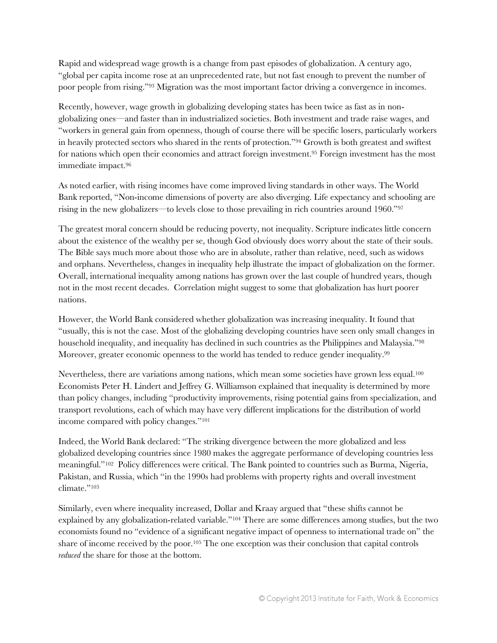Rapid and widespread wage growth is a change from past episodes of globalization. A century ago, "global per capita income rose at an unprecedented rate, but not fast enough to prevent the number of poor people from rising."<sup>93</sup> Migration was the most important factor driving a convergence in incomes.

Recently, however, wage growth in globalizing developing states has been twice as fast as in nonglobalizing ones—and faster than in industrialized societies. Both investment and trade raise wages, and "workers in general gain from openness, though of course there will be specific losers, particularly workers in heavily protected sectors who shared in the rents of protection."<sup>94</sup> Growth is both greatest and swiftest for nations which open their economies and attract foreign investment.<sup>95</sup> Foreign investment has the most immediate impact.<sup>96</sup>

As noted earlier, with rising incomes have come improved living standards in other ways. The World Bank reported, "Non-income dimensions of poverty are also diverging. Life expectancy and schooling are rising in the new globalizers—to levels close to those prevailing in rich countries around 1960."<sup>97</sup>

The greatest moral concern should be reducing poverty, not inequality. Scripture indicates little concern about the existence of the wealthy per se, though God obviously does worry about the state of their souls. The Bible says much more about those who are in absolute, rather than relative, need, such as widows and orphans. Nevertheless, changes in inequality help illustrate the impact of globalization on the former. Overall, international inequality among nations has grown over the last couple of hundred years, though not in the most recent decades. Correlation might suggest to some that globalization has hurt poorer nations.

However, the World Bank considered whether globalization was increasing inequality. It found that "usually, this is not the case. Most of the globalizing developing countries have seen only small changes in household inequality, and inequality has declined in such countries as the Philippines and Malaysia."<sup>98</sup> Moreover, greater economic openness to the world has tended to reduce gender inequality.<sup>99</sup>

Nevertheless, there are variations among nations, which mean some societies have grown less equal.<sup>100</sup> Economists Peter H. Lindert and Jeffrey G. Williamson explained that inequality is determined by more than policy changes, including "productivity improvements, rising potential gains from specialization, and transport revolutions, each of which may have very different implications for the distribution of world income compared with policy changes."<sup>101</sup>

Indeed, the World Bank declared: "The striking divergence between the more globalized and less globalized developing countries since 1980 makes the aggregate performance of developing countries less meaningful."102 Policy differences were critical. The Bank pointed to countries such as Burma, Nigeria, Pakistan, and Russia, which "in the 1990s had problems with property rights and overall investment climate."<sup>103</sup>

Similarly, even where inequality increased, Dollar and Kraay argued that "these shifts cannot be explained by any globalization-related variable."<sup>104</sup> There are some differences among studies, but the two economists found no "evidence of a significant negative impact of openness to international trade on" the share of income received by the poor.<sup>105</sup> The one exception was their conclusion that capital controls *reduced* the share for those at the bottom.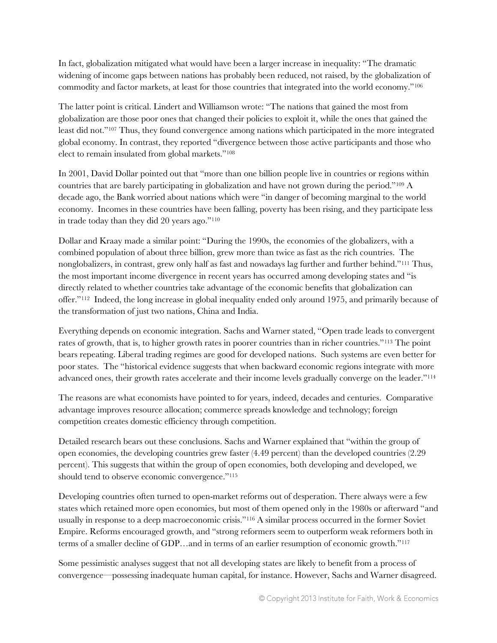In fact, globalization mitigated what would have been a larger increase in inequality: "The dramatic widening of income gaps between nations has probably been reduced, not raised, by the globalization of commodity and factor markets, at least for those countries that integrated into the world economy."<sup>106</sup>

The latter point is critical. Lindert and Williamson wrote: "The nations that gained the most from globalization are those poor ones that changed their policies to exploit it, while the ones that gained the least did not."<sup>107</sup> Thus, they found convergence among nations which participated in the more integrated global economy. In contrast, they reported "divergence between those active participants and those who elect to remain insulated from global markets."<sup>108</sup>

In 2001, David Dollar pointed out that "more than one billion people live in countries or regions within countries that are barely participating in globalization and have not grown during the period."<sup>109</sup> A decade ago, the Bank worried about nations which were "in danger of becoming marginal to the world economy. Incomes in these countries have been falling, poverty has been rising, and they participate less in trade today than they did 20 years ago."<sup>110</sup>

Dollar and Kraay made a similar point: "During the 1990s, the economies of the globalizers, with a combined population of about three billion, grew more than twice as fast as the rich countries. The nonglobalizers, in contrast, grew only half as fast and nowadays lag further and further behind."<sup>111</sup> Thus, the most important income divergence in recent years has occurred among developing states and "is directly related to whether countries take advantage of the economic benefits that globalization can offer."112 Indeed, the long increase in global inequality ended only around 1975, and primarily because of the transformation of just two nations, China and India.

Everything depends on economic integration. Sachs and Warner stated, "Open trade leads to convergent rates of growth, that is, to higher growth rates in poorer countries than in richer countries."<sup>113</sup> The point bears repeating. Liberal trading regimes are good for developed nations. Such systems are even better for poor states. The "historical evidence suggests that when backward economic regions integrate with more advanced ones, their growth rates accelerate and their income levels gradually converge on the leader."<sup>114</sup>

The reasons are what economists have pointed to for years, indeed, decades and centuries. Comparative advantage improves resource allocation; commerce spreads knowledge and technology; foreign competition creates domestic efficiency through competition.

Detailed research bears out these conclusions. Sachs and Warner explained that "within the group of open economies, the developing countries grew faster (4.49 percent) than the developed countries (2.29 percent). This suggests that within the group of open economies, both developing and developed, we should tend to observe economic convergence."<sup>115</sup>

Developing countries often turned to open-market reforms out of desperation. There always were a few states which retained more open economies, but most of them opened only in the 1980s or afterward "and usually in response to a deep macroeconomic crisis."<sup>116</sup> A similar process occurred in the former Soviet Empire. Reforms encouraged growth, and "strong reformers seem to outperform weak reformers both in terms of a smaller decline of GDP…and in terms of an earlier resumption of economic growth."<sup>117</sup>

Some pessimistic analyses suggest that not all developing states are likely to benefit from a process of convergence—possessing inadequate human capital, for instance. However, Sachs and Warner disagreed.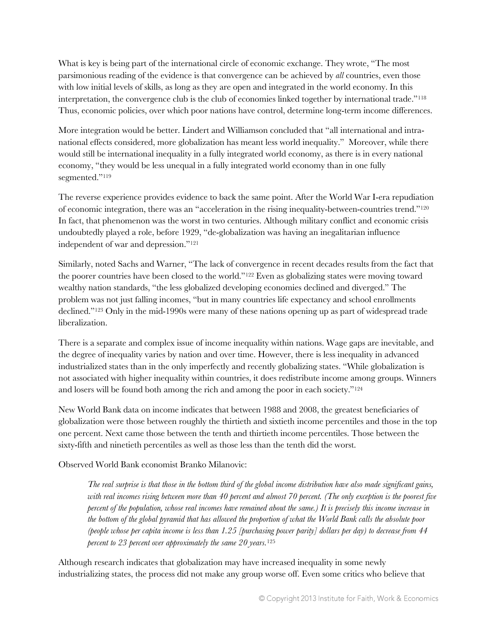What is key is being part of the international circle of economic exchange. They wrote, "The most parsimonious reading of the evidence is that convergence can be achieved by *all* countries, even those with low initial levels of skills, as long as they are open and integrated in the world economy. In this interpretation, the convergence club is the club of economies linked together by international trade."<sup>118</sup> Thus, economic policies, over which poor nations have control, determine long-term income differences.

More integration would be better. Lindert and Williamson concluded that "all international and intranational effects considered, more globalization has meant less world inequality." Moreover, while there would still be international inequality in a fully integrated world economy, as there is in every national economy, "they would be less unequal in a fully integrated world economy than in one fully segmented."<sup>119</sup>

The reverse experience provides evidence to back the same point. After the World War I-era repudiation of economic integration, there was an "acceleration in the rising inequality-between-countries trend."<sup>120</sup> In fact, that phenomenon was the worst in two centuries. Although military conflict and economic crisis undoubtedly played a role, before 1929, "de-globalization was having an inegalitarian influence independent of war and depression."<sup>121</sup>

Similarly, noted Sachs and Warner, "The lack of convergence in recent decades results from the fact that the poorer countries have been closed to the world."<sup>122</sup> Even as globalizing states were moving toward wealthy nation standards, "the less globalized developing economies declined and diverged." The problem was not just falling incomes, "but in many countries life expectancy and school enrollments declined."<sup>123</sup> Only in the mid-1990s were many of these nations opening up as part of widespread trade liberalization.

There is a separate and complex issue of income inequality within nations. Wage gaps are inevitable, and the degree of inequality varies by nation and over time. However, there is less inequality in advanced industrialized states than in the only imperfectly and recently globalizing states. "While globalization is not associated with higher inequality within countries, it does redistribute income among groups. Winners and losers will be found both among the rich and among the poor in each society."<sup>124</sup>

New World Bank data on income indicates that between 1988 and 2008, the greatest beneficiaries of globalization were those between roughly the thirtieth and sixtieth income percentiles and those in the top one percent. Next came those between the tenth and thirtieth income percentiles. Those between the sixty-fifth and ninetieth percentiles as well as those less than the tenth did the worst.

Observed World Bank economist Branko Milanovic:

*The real surprise is that those in the bottom third of the global income distribution have also made significant gains, with real incomes rising between more than 40 percent and almost 70 percent. (The only exception is the poorest five percent of the population, whose real incomes have remained about the same.) It is precisely this income increase in the bottom of the global pyramid that has allowed the proportion of what the World Bank calls the absolute poor (people whose per capita income is less than 1.25 [purchasing power parity] dollars per day) to decrease from 44 percent to 23 percent over approximately the same 20 years.*<sup>125</sup>

Although research indicates that globalization may have increased inequality in some newly industrializing states, the process did not make any group worse off. Even some critics who believe that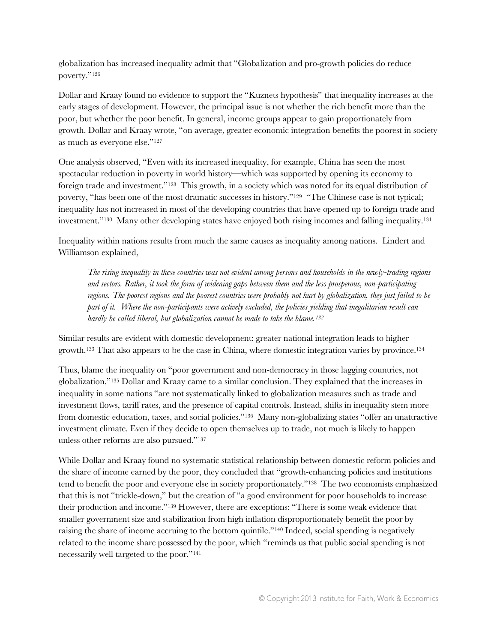globalization has increased inequality admit that "Globalization and pro-growth policies do reduce poverty."<sup>126</sup>

Dollar and Kraay found no evidence to support the "Kuznets hypothesis" that inequality increases at the early stages of development. However, the principal issue is not whether the rich benefit more than the poor, but whether the poor benefit. In general, income groups appear to gain proportionately from growth. Dollar and Kraay wrote, "on average, greater economic integration benefits the poorest in society as much as everyone else."<sup>127</sup>

One analysis observed, "Even with its increased inequality, for example, China has seen the most spectacular reduction in poverty in world history—which was supported by opening its economy to foreign trade and investment."128 This growth, in a society which was noted for its equal distribution of poverty, "has been one of the most dramatic successes in history."<sup>129</sup> "The Chinese case is not typical; inequality has not increased in most of the developing countries that have opened up to foreign trade and investment."130 Many other developing states have enjoyed both rising incomes and falling inequality.<sup>131</sup>

Inequality within nations results from much the same causes as inequality among nations. Lindert and Williamson explained,

*The rising inequality in these countries was not evident among persons and households in the newly-trading regions and sectors. Rather, it took the form of widening gaps between them and the less prosperous, non-participating regions. The poorest regions and the poorest countries were probably not hurt by globalization, they just failed to be part of it. Where the non-participants were actively excluded, the policies yielding that inegalitarian result can hardly be called liberal, but globalization cannot be made to take the blame.<sup>132</sup>* 

Similar results are evident with domestic development: greater national integration leads to higher growth.<sup>133</sup> That also appears to be the case in China, where domestic integration varies by province.<sup>134</sup>

Thus, blame the inequality on "poor government and non-democracy in those lagging countries, not globalization."<sup>135</sup> Dollar and Kraay came to a similar conclusion. They explained that the increases in inequality in some nations "are not systematically linked to globalization measures such as trade and investment flows, tariff rates, and the presence of capital controls. Instead, shifts in inequality stem more from domestic education, taxes, and social policies."136 Many non-globalizing states "offer an unattractive investment climate. Even if they decide to open themselves up to trade, not much is likely to happen unless other reforms are also pursued."<sup>137</sup>

While Dollar and Kraay found no systematic statistical relationship between domestic reform policies and the share of income earned by the poor, they concluded that "growth-enhancing policies and institutions tend to benefit the poor and everyone else in society proportionately."138 The two economists emphasized that this is not "trickle-down," but the creation of "a good environment for poor households to increase their production and income."<sup>139</sup> However, there are exceptions: "There is some weak evidence that smaller government size and stabilization from high inflation disproportionately benefit the poor by raising the share of income accruing to the bottom quintile."<sup>140</sup> Indeed, social spending is negatively related to the income share possessed by the poor, which "reminds us that public social spending is not necessarily well targeted to the poor."141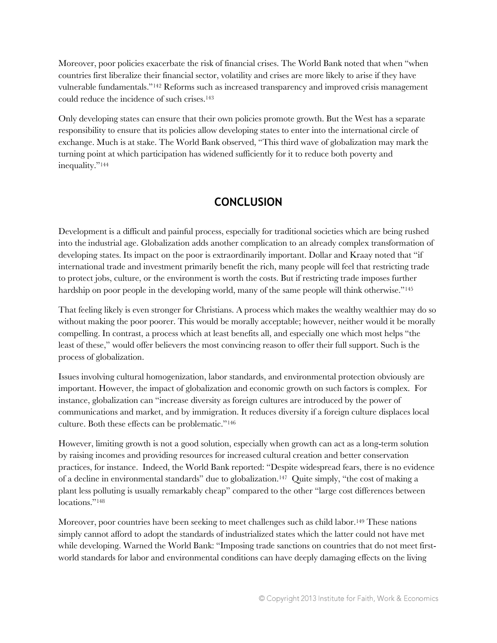Moreover, poor policies exacerbate the risk of financial crises. The World Bank noted that when "when countries first liberalize their financial sector, volatility and crises are more likely to arise if they have vulnerable fundamentals."<sup>142</sup> Reforms such as increased transparency and improved crisis management could reduce the incidence of such crises.<sup>143</sup>

Only developing states can ensure that their own policies promote growth. But the West has a separate responsibility to ensure that its policies allow developing states to enter into the international circle of exchange. Much is at stake. The World Bank observed, "This third wave of globalization may mark the turning point at which participation has widened sufficiently for it to reduce both poverty and inequality."<sup>144</sup>

#### **CONCLUSION**

Development is a difficult and painful process, especially for traditional societies which are being rushed into the industrial age. Globalization adds another complication to an already complex transformation of developing states. Its impact on the poor is extraordinarily important. Dollar and Kraay noted that "if international trade and investment primarily benefit the rich, many people will feel that restricting trade to protect jobs, culture, or the environment is worth the costs. But if restricting trade imposes further hardship on poor people in the developing world, many of the same people will think otherwise."<sup>145</sup>

That feeling likely is even stronger for Christians. A process which makes the wealthy wealthier may do so without making the poor poorer. This would be morally acceptable; however, neither would it be morally compelling. In contrast, a process which at least benefits all, and especially one which most helps "the least of these," would offer believers the most convincing reason to offer their full support. Such is the process of globalization.

Issues involving cultural homogenization, labor standards, and environmental protection obviously are important. However, the impact of globalization and economic growth on such factors is complex. For instance, globalization can "increase diversity as foreign cultures are introduced by the power of communications and market, and by immigration. It reduces diversity if a foreign culture displaces local culture. Both these effects can be problematic."<sup>146</sup>

However, limiting growth is not a good solution, especially when growth can act as a long-term solution by raising incomes and providing resources for increased cultural creation and better conservation practices, for instance. Indeed, the World Bank reported: "Despite widespread fears, there is no evidence of a decline in environmental standards" due to globalization.<sup>147</sup> Quite simply, "the cost of making a plant less polluting is usually remarkably cheap" compared to the other "large cost differences between locations."<sup>148</sup>

Moreover, poor countries have been seeking to meet challenges such as child labor.<sup>149</sup> These nations simply cannot afford to adopt the standards of industrialized states which the latter could not have met while developing. Warned the World Bank: "Imposing trade sanctions on countries that do not meet firstworld standards for labor and environmental conditions can have deeply damaging effects on the living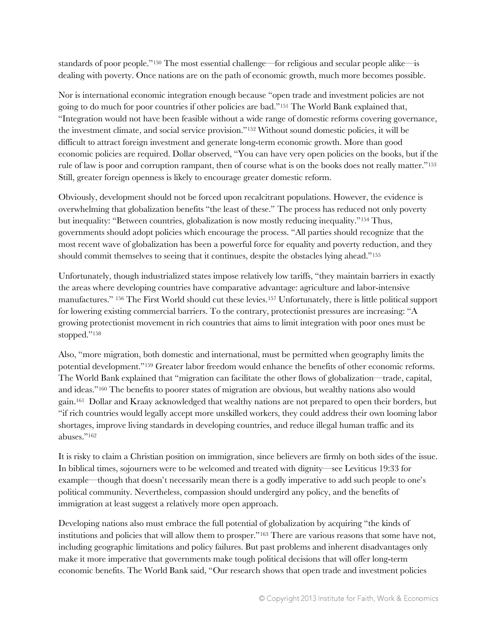standards of poor people."<sup>150</sup> The most essential challenge—for religious and secular people alike—is dealing with poverty. Once nations are on the path of economic growth, much more becomes possible.

Nor is international economic integration enough because "open trade and investment policies are not going to do much for poor countries if other policies are bad."<sup>151</sup> The World Bank explained that, "Integration would not have been feasible without a wide range of domestic reforms covering governance, the investment climate, and social service provision."<sup>152</sup> Without sound domestic policies, it will be difficult to attract foreign investment and generate long-term economic growth. More than good economic policies are required. Dollar observed, "You can have very open policies on the books, but if the rule of law is poor and corruption rampant, then of course what is on the books does not really matter."<sup>153</sup> Still, greater foreign openness is likely to encourage greater domestic reform.

Obviously, development should not be forced upon recalcitrant populations. However, the evidence is overwhelming that globalization benefits "the least of these." The process has reduced not only poverty but inequality: "Between countries, globalization is now mostly reducing inequality."<sup>154</sup> Thus, governments should adopt policies which encourage the process. "All parties should recognize that the most recent wave of globalization has been a powerful force for equality and poverty reduction, and they should commit themselves to seeing that it continues, despite the obstacles lying ahead."<sup>155</sup>

Unfortunately, though industrialized states impose relatively low tariffs, "they maintain barriers in exactly the areas where developing countries have comparative advantage: agriculture and labor-intensive manufactures." <sup>156</sup> The First World should cut these levies.<sup>157</sup> Unfortunately, there is little political support for lowering existing commercial barriers. To the contrary, protectionist pressures are increasing: "A growing protectionist movement in rich countries that aims to limit integration with poor ones must be stopped."<sup>158</sup>

Also, "more migration, both domestic and international, must be permitted when geography limits the potential development."<sup>159</sup> Greater labor freedom would enhance the benefits of other economic reforms. The World Bank explained that "migration can facilitate the other flows of globalization—trade, capital, and ideas."<sup>160</sup> The benefits to poorer states of migration are obvious, but wealthy nations also would gain.161 Dollar and Kraay acknowledged that wealthy nations are not prepared to open their borders, but "if rich countries would legally accept more unskilled workers, they could address their own looming labor shortages, improve living standards in developing countries, and reduce illegal human traffic and its abuses."<sup>162</sup>

It is risky to claim a Christian position on immigration, since believers are firmly on both sides of the issue. In biblical times, sojourners were to be welcomed and treated with dignity—see Leviticus 19:33 for example—though that doesn't necessarily mean there is a godly imperative to add such people to one's political community. Nevertheless, compassion should undergird any policy, and the benefits of immigration at least suggest a relatively more open approach.

Developing nations also must embrace the full potential of globalization by acquiring "the kinds of institutions and policies that will allow them to prosper."<sup>163</sup> There are various reasons that some have not, including geographic limitations and policy failures. But past problems and inherent disadvantages only make it more imperative that governments make tough political decisions that will offer long-term economic benefits. The World Bank said, "Our research shows that open trade and investment policies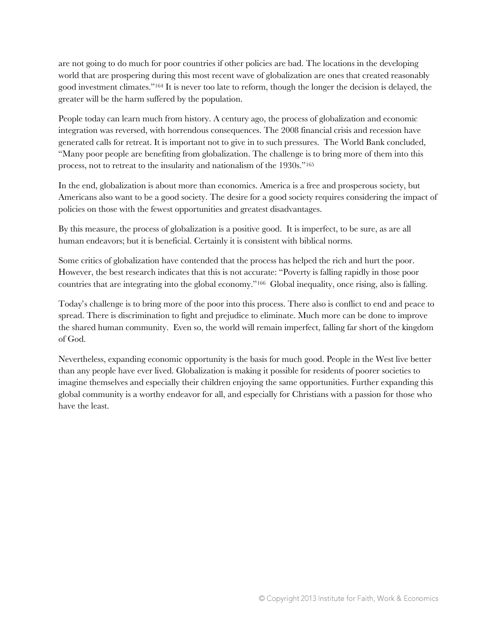are not going to do much for poor countries if other policies are bad. The locations in the developing world that are prospering during this most recent wave of globalization are ones that created reasonably good investment climates."<sup>164</sup> It is never too late to reform, though the longer the decision is delayed, the greater will be the harm suffered by the population.

People today can learn much from history. A century ago, the process of globalization and economic integration was reversed, with horrendous consequences. The 2008 financial crisis and recession have generated calls for retreat. It is important not to give in to such pressures. The World Bank concluded, "Many poor people are benefiting from globalization. The challenge is to bring more of them into this process, not to retreat to the insularity and nationalism of the 1930s."<sup>165</sup>

In the end, globalization is about more than economics. America is a free and prosperous society, but Americans also want to be a good society. The desire for a good society requires considering the impact of policies on those with the fewest opportunities and greatest disadvantages.

By this measure, the process of globalization is a positive good. It is imperfect, to be sure, as are all human endeavors; but it is beneficial. Certainly it is consistent with biblical norms.

Some critics of globalization have contended that the process has helped the rich and hurt the poor. However, the best research indicates that this is not accurate: "Poverty is falling rapidly in those poor countries that are integrating into the global economy."166 Global inequality, once rising, also is falling.

Today's challenge is to bring more of the poor into this process. There also is conflict to end and peace to spread. There is discrimination to fight and prejudice to eliminate. Much more can be done to improve the shared human community. Even so, the world will remain imperfect, falling far short of the kingdom of God.

Nevertheless, expanding economic opportunity is the basis for much good. People in the West live better than any people have ever lived. Globalization is making it possible for residents of poorer societies to imagine themselves and especially their children enjoying the same opportunities. Further expanding this global community is a worthy endeavor for all, and especially for Christians with a passion for those who have the least.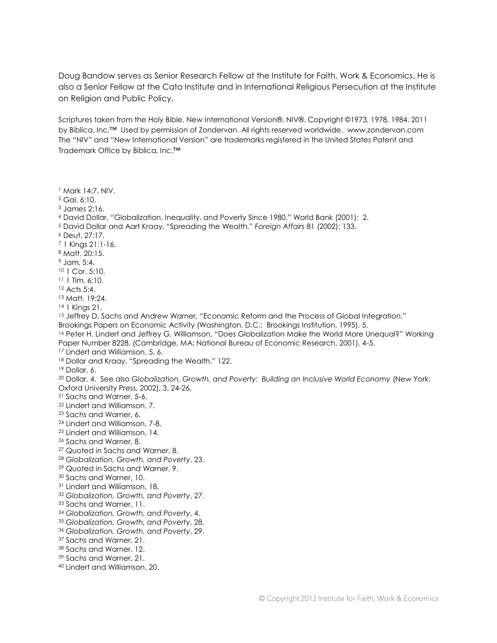Doug Bandow serves as Senior Research Fellow at the Institute for Faith, Work & Economics. He is also a Senior Fellow at the Cato Institute and in International Religious Persecution at the Institute on Religion and Public Policy.

Scriptures taken from the Holy Bible, New International Version®, NIV®. Copyright ©1973, 1978, 1984, 2011 by Biblica, Inc.™ Used by permission of Zondervan. All rights reserved worldwide. www.zondervan.com The "NIV" and "New International Version" are trademarks registered in the United States Patent and Trademark Office by Biblica, Inc.™

- Mark 14:7, NIV.
- Gal. 6:10.
- James 2:16.
- David Dollar, "Globalization, Inequality, and Poverty Since 1980," World Bank (2001): 2.
- David Dollar and Aart Kraay, "Spreading the Wealth," *Foreign Affairs* 81 (2002): 133.
- Deut. 27:17.
- 1 Kings 21:1-16.
- Matt. 20:15.
- Jam. 5:4.
- 1 Cor. 5:10.
- 1 Tim. 6:10.
- Acts 5:4.

Matt. 19:24.

1 Kings 21.

15 Jeffrey D. Sachs and Andrew Warner, "Economic Reform and the Process of Global Integration,"

Brookings Papers on Economic Activity (Washington, D.C.: Brookings Institution, 1995), 5.

 Peter H. Lindert and Jeffrey G. Williamson, "Does Globalization Make the World More Unequal?" Working Paper Number 8228, (Cambridge, MA: National Bureau of Economic Research, 2001), 4-5.

- Lindert and Williamson, 5, 6.
- 18 Dollar and Kraay, "Spreading the Wealth," 122.
- Dollar, 6.

 Dollar, 4. See also *Globalization, Growth, and Poverty: Building an Inclusive World Economy* (New York: Oxford University Press, 2002), 3, 24-26.

- Sachs and Warner, 5-6.
- Lindert and Williamson, 7.
- Sachs and Warner, 6.
- Lindert and Williamson, 7-8.
- Lindert and Williamson, 14.
- Sachs and Warner, 8.
- Quoted in Sachs and Warner, 8.
- *Globalization, Growth, and Poverty*, 23.
- Quoted in Sachs and Warner, 9.
- Sachs and Warner, 10.
- Lindert and Williamson, 18.
- *Globalization, Growth, and Poverty*, 27.
- <sup>33</sup> Sachs and Warner, 11.
- *Globalization, Growth, and Poverty*, 4.
- *Globalization, Growth, and Poverty*, 28.
- *Globalization, Growth, and Poverty*, 29.
- Sachs and Warner, 21.
- Sachs and Warner, 12.
- Sachs and Warner, 21.
- Lindert and Williamson, 20.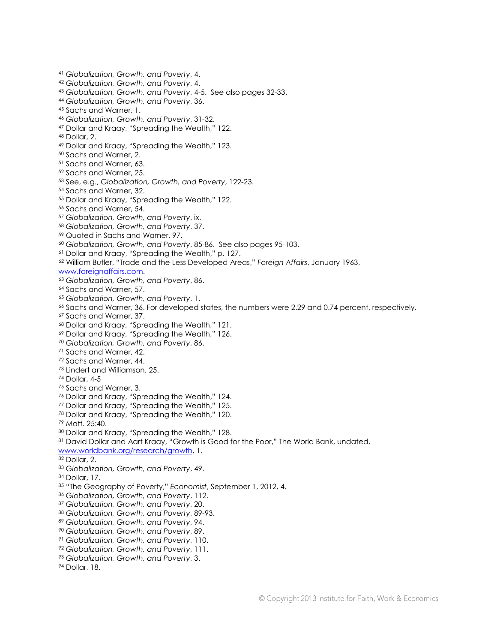*Globalization, Growth, and Poverty*, 4. *Globalization, Growth, and Poverty*, 4. *Globalization, Growth, and Poverty*, 4-5. See also pages 32-33. *Globalization, Growth, and Poverty*, 36. Sachs and Warner, 1. *Globalization, Growth, and Poverty*, 31-32. Dollar and Kraay, "Spreading the Wealth," 122. Dollar, 2. Dollar and Kraay, "Spreading the Wealth," 123. Sachs and Warner, 2. Sachs and Warner, 63. Sachs and Warner, 25. See, e.g., *Globalization, Growth, and Poverty*, 122-23. Sachs and Warner, 32. Dollar and Kraay, "Spreading the Wealth," 122. Sachs and Warner, 54. *Globalization, Growth, and Poverty*, ix. *Globalization, Growth, and Poverty*, 37. Quoted in Sachs and Warner, 97. *Globalization, Growth, and Poverty*, 85-86. See also pages 95-103. Dollar and Kraay, "Spreading the Wealth," p. 127. William Butler, "Trade and the Less Developed Areas," *Foreign Affairs*, January 1963, [www.foreignaffairs.com.](http://www.foreignaffairs.com/) *Globalization, Growth, and Poverty*, 86. Sachs and Warner, 57. *Globalization, Growth, and Poverty*, 1. Sachs and Warner, 36. For developed states, the numbers were 2.29 and 0.74 percent, respectively. Sachs and Warner, 37. Dollar and Kraay, "Spreading the Wealth," 121. Dollar and Kraay, "Spreading the Wealth," 126. *Globalization, Growth, and Poverty*, 86. Sachs and Warner, 42. Sachs and Warner, 44. Lindert and Williamson, 25. Dollar, 4-5 Sachs and Warner, 3. Dollar and Kraay, "Spreading the Wealth," 124. Dollar and Kraay, "Spreading the Wealth," 125. Dollar and Kraay, "Spreading the Wealth," 120. Matt. 25:40. Dollar and Kraay, "Spreading the Wealth," 128. 81 David Dollar and Aart Kraay, "Growth is Good for the Poor," The World Bank, undated, [www.worldbank.org/research/growth,](http://www.worldbank.org/research/growth) 1. Dollar, 2. *Globalization, Growth, and Poverty*, 49. Dollar, 17. "The Geography of Poverty," *Economist*, September 1, 2012, 4. *Globalization, Growth, and Poverty*, 112. *Globalization, Growth, and Poverty*, 20. *Globalization, Growth, and Poverty*, 89-93. *Globalization, Growth, and Poverty*, 94. *Globalization, Growth, and Poverty*, 89. *Globalization, Growth, and Poverty*, 110. *Globalization, Growth, and Poverty*, 111. *Globalization, Growth, and Poverty*, 3. Dollar, 18.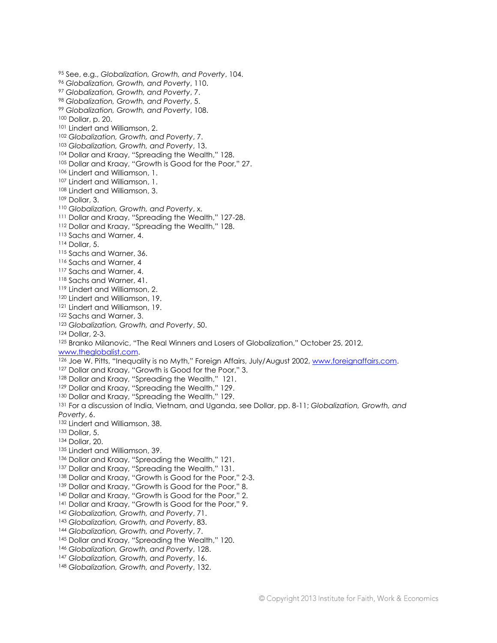See, e.g., *Globalization, Growth, and Poverty*, 104. *Globalization, Growth, and Poverty*, 110. *Globalization, Growth, and Poverty*, 7. *Globalization, Growth, and Poverty*, 5. *Globalization, Growth, and Poverty*, 108. Dollar, p. 20. Lindert and Williamson, 2. *Globalization, Growth, and Poverty*, 7. *Globalization, Growth, and Poverty*, 13. 104 Dollar and Kraay, "Spreading the Wealth," 128. Dollar and Kraay, "Growth is Good for the Poor," 27. Lindert and Williamson, 1. Lindert and Williamson, 1. Lindert and Williamson, 3. Dollar, 3. *Globalization, Growth, and Poverty*, x. 111 Dollar and Kraay, "Spreading the Wealth," 127-28. Dollar and Kraay, "Spreading the Wealth," 128. 113 Sachs and Warner, 4. Dollar, 5. 115 Sachs and Warner, 36. 116 Sachs and Warner, 4 117 Sachs and Warner, 4. Sachs and Warner, 41. Lindert and Williamson, 2. Lindert and Williamson, 19. Lindert and Williamson, 19. 122 Sachs and Warner, 3. *Globalization, Growth, and Poverty*, 50. Dollar, 2-3. Branko Milanovic, "The Real Winners and Losers of Globalization," October 25, 2012, [www.theglobalist.com.](http://www.theglobalist.com/) 126 Joe W. Pitts, "Inequality is no Myth," Foreign Affairs, July/August 2002, [www.foreignaffairs.com.](http://www.foreignaffairs.com/) <sup>127</sup> Dollar and Kraay, "Growth is Good for the Poor," 3. 128 Dollar and Kraay, "Spreading the Wealth," 121. <sup>129</sup> Dollar and Kraay, "Spreading the Wealth," 129. <sup>130</sup> Dollar and Kraay, "Spreading the Wealth," 129. For a discussion of India, Vietnam, and Uganda, see Dollar, pp. 8-11; *Globalization, Growth, and Poverty*, 6. 132 Lindert and Williamson, 38. Dollar, 5. Dollar, 20. Lindert and Williamson, 39. 136 Dollar and Kraay, "Spreading the Wealth," 121. <sup>137</sup> Dollar and Kraay, "Spreading the Wealth," 131. 138 Dollar and Kraay, "Growth is Good for the Poor," 2-3. 139 Dollar and Kraay, "Growth is Good for the Poor," 8. 140 Dollar and Kraay, "Growth is Good for the Poor," 2. 141 Dollar and Kraay, "Growth is Good for the Poor," 9. *Globalization, Growth, and Poverty*, 71. *Globalization, Growth, and Poverty*, 83. *Globalization, Growth, and Poverty*, 7. 145 Dollar and Kraay, "Spreading the Wealth," 120. *Globalization, Growth, and Poverty*, 128. *Globalization, Growth, and Poverty*, 16. *Globalization, Growth, and Poverty*, 132.